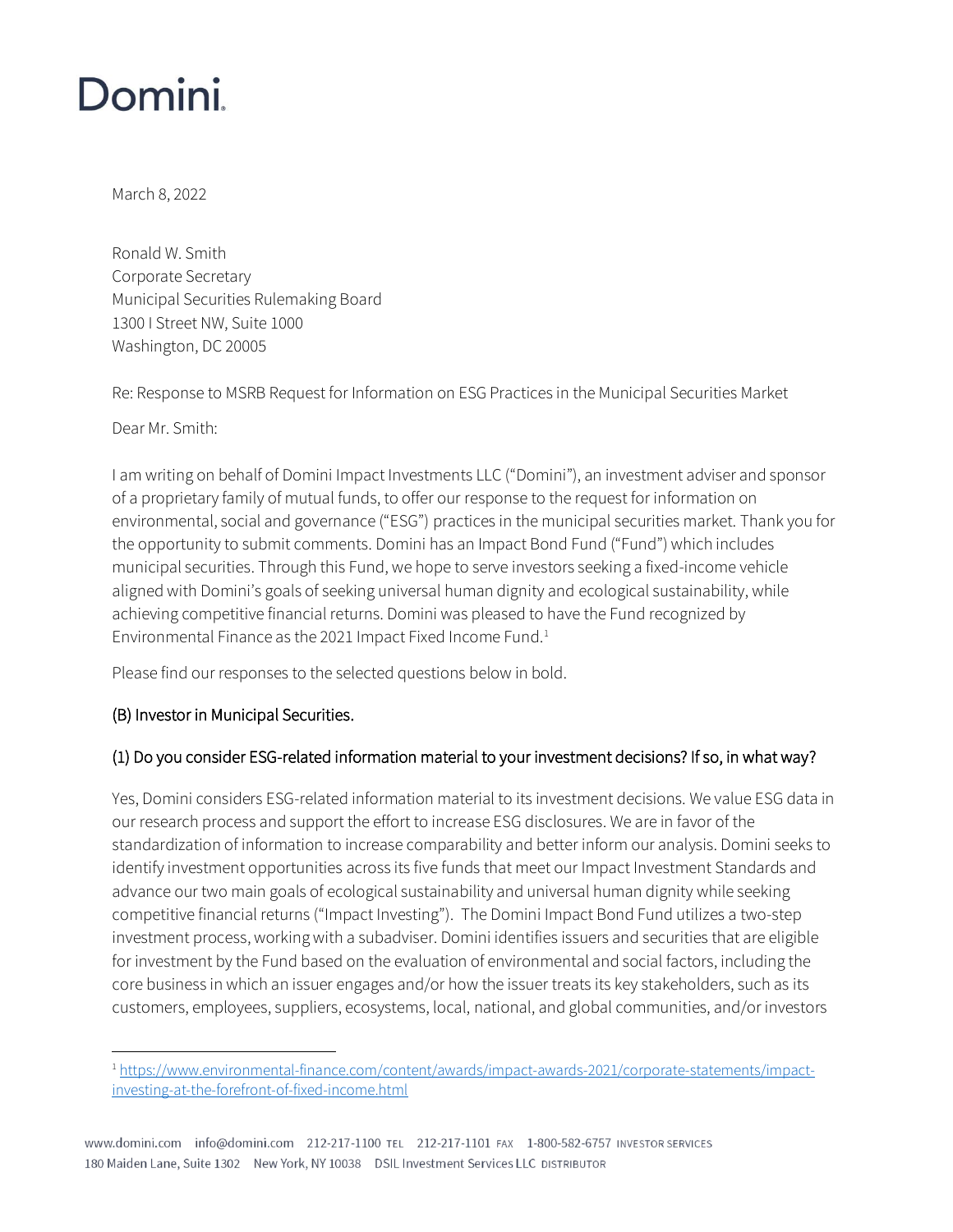# **Domini**

March 8, 2022

Ronald W. Smith Corporate Secretary Municipal Securities Rulemaking Board 1300 I Street NW, Suite 1000 Washington, DC 20005

Re: Response to MSRB Request for Information on ESG Practices in the Municipal Securities Market

Dear Mr. Smith:

I am writing on behalf of Domini Impact Investments LLC ("Domini"), an investment adviser and sponsor of a proprietary family of mutual funds, to offer our response to the request for information on environmental, social and governance ("ESG") practices in the municipal securities market. Thank you for the opportunity to submit comments. Domini has an Impact Bond Fund ("Fund") which includes municipal securities. Through this Fund, we hope to serve investors seeking a fixed-income vehicle aligned with Domini's goals of seeking universal human dignity and ecological sustainability, while achieving competitive financial returns. Domini was pleased to have the Fund recognized by Environmental Finance as the 2021 Impact Fixed Income Fund.<sup>1</sup>

Please find our responses to the selected questions below in bold.

### (B) Investor in Municipal Securities.

## (1) Do you consider ESG-related information material to your investment decisions? If so, in what way?

Yes, Domini considers ESG-related information material to its investment decisions. We value ESG data in our research process and support the effort to increase ESG disclosures. We are in favor of the standardization of information to increase comparability and better inform our analysis. Domini seeks to identify investment opportunities across its five funds that meet our Impact Investment Standards and advance our two main goals of ecological sustainability and universal human dignity while seeking competitive financial returns ("Impact Investing"). The Domini Impact Bond Fund utilizes a two-step investment process, working with a subadviser. Domini identifies issuers and securities that are eligible for investment by the Fund based on the evaluation of environmental and social factors, including the core business in which an issuer engages and/or how the issuer treats its key stakeholders, such as its customers, employees, suppliers, ecosystems, local, national, and global communities, and/or investors

<sup>&</sup>lt;sup>1</sup> [https://www.environmental-finance.com/content/awards/impact-awards-2021/corporate-statements/impact](https://www.environmental-finance.com/content/awards/impact-awards-2021/corporate-statements/impact-investing-at-the-forefront-of-fixed-income.html)[investing-at-the-forefront-of-fixed-income.html](https://www.environmental-finance.com/content/awards/impact-awards-2021/corporate-statements/impact-investing-at-the-forefront-of-fixed-income.html)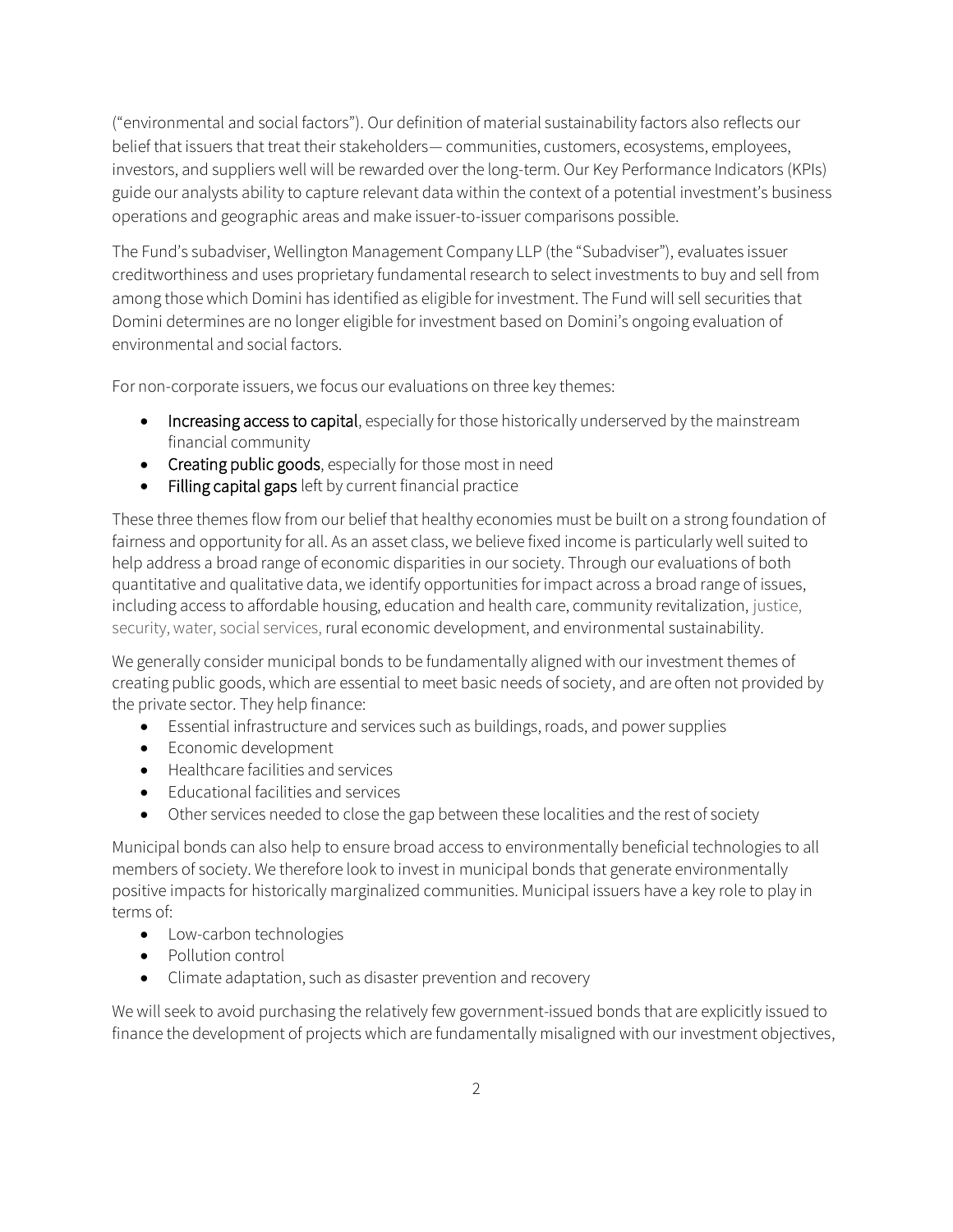("environmental and social factors"). Our definition of material sustainability factors also reflects our belief that issuers that treat their stakeholders— communities, customers, ecosystems, employees, investors, and suppliers well will be rewarded over the long-term. Our Key Performance Indicators (KPIs) guide our analysts ability to capture relevant data within the context of a potential investment's business operations and geographic areas and make issuer-to-issuer comparisons possible.

The Fund's subadviser, Wellington Management Company LLP (the "Subadviser"), evaluates issuer creditworthiness and uses proprietary fundamental research to select investments to buy and sell from among those which Domini has identified as eligible for investment. The Fund will sell securities that Domini determines are no longer eligible for investment based on Domini's ongoing evaluation of environmental and social factors.

For non-corporate issuers, we focus our evaluations on three key themes:

- Increasing access to capital, especially for those historically underserved by the mainstream financial community
- Creating public goods, especially for those most in need
- Filling capital gaps left by current financial practice

These three themes flow from our belief that healthy economies must be built on a strong foundation of fairness and opportunity for all. As an asset class, we believe fixed income is particularly well suited to help address a broad range of economic disparities in our society. Through our evaluations of both quantitative and qualitative data, we identify opportunities for impact across a broad range of issues, including access to affordable housing, education and health care, community revitalization, justice, security, water, social services, rural economic development, and environmental sustainability.

We generally consider municipal bonds to be fundamentally aligned with our investment themes of creating public goods, which are essential to meet basic needs of society, and are often not provided by the private sector. They help finance:

- Essential infrastructure and services such as buildings, roads, and power supplies
- Economic development
- Healthcare facilities and services
- Educational facilities and services
- Other services needed to close the gap between these localities and the rest of society

Municipal bonds can also help to ensure broad access to environmentally beneficial technologies to all members of society. We therefore look to invest in municipal bonds that generate environmentally positive impacts for historically marginalized communities. Municipal issuers have a key role to play in terms of:

- Low-carbon technologies
- Pollution control
- Climate adaptation, such as disaster prevention and recovery

We will seek to avoid purchasing the relatively few government-issued bonds that are explicitly issued to finance the development of projects which are fundamentally misaligned with our investment objectives,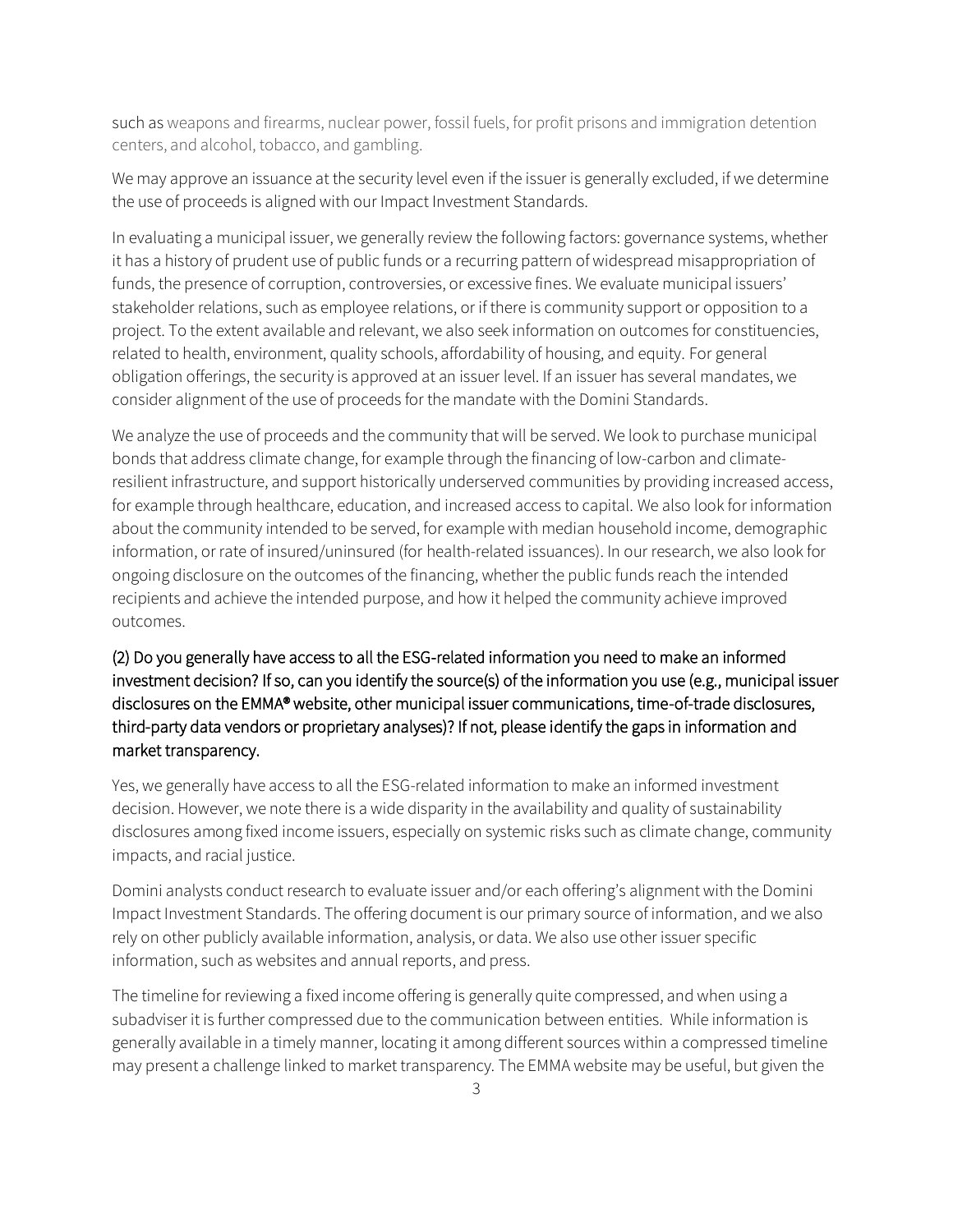such as weapons and firearms, nuclear power, fossil fuels, for profit prisons and immigration detention centers, and alcohol, tobacco, and gambling.

We may approve an issuance at the security level even if the issuer is generally excluded, if we determine the use of proceeds is aligned with our Impact Investment Standards.

In evaluating a municipal issuer, we generally review the following factors: governance systems, whether it has a history of prudent use of public funds or a recurring pattern of widespread misappropriation of funds, the presence of corruption, controversies, or excessive fines. We evaluate municipal issuers' stakeholder relations, such as employee relations, or if there is community support or opposition to a project. To the extent available and relevant, we also seek information on outcomes for constituencies, related to health, environment, quality schools, affordability of housing, and equity. For general obligation offerings, the security is approved at an issuer level. If an issuer has several mandates, we consider alignment of the use of proceeds for the mandate with the Domini Standards.

We analyze the use of proceeds and the community that will be served. We look to purchase municipal bonds that address climate change, for example through the financing of low-carbon and climateresilient infrastructure, and support historically underserved communities by providing increased access, for example through healthcare, education, and increased access to capital. We also look for information about the community intended to be served, for example with median household income, demographic information, or rate of insured/uninsured (for health-related issuances). In our research, we also look for ongoing disclosure on the outcomes of the financing, whether the public funds reach the intended recipients and achieve the intended purpose, and how it helped the community achieve improved outcomes.

## (2) Do you generally have access to all the ESG-related information you need to make an informed investment decision? If so, can you identify the source(s) of the information you use (e.g., municipal issuer disclosures on the EMMA® website, other municipal issuer communications, time-of-trade disclosures, third-party data vendors or proprietary analyses)? If not, please identify the gaps in information and market transparency.

Yes, we generally have access to all the ESG-related information to make an informed investment decision. However, we note there is a wide disparity in the availability and quality of sustainability disclosures among fixed income issuers, especially on systemic risks such as climate change, community impacts, and racial justice.

Domini analysts conduct research to evaluate issuer and/or each offering's alignment with the Domini Impact Investment Standards. The offering document is our primary source of information, and we also rely on other publicly available information, analysis, or data. We also use other issuer specific information, such as websites and annual reports, and press.

The timeline for reviewing a fixed income offering is generally quite compressed, and when using a subadviser it is further compressed due to the communication between entities. While information is generally available in a timely manner, locating it among different sources within a compressed timeline may present a challenge linked to market transparency. The EMMA website may be useful, but given the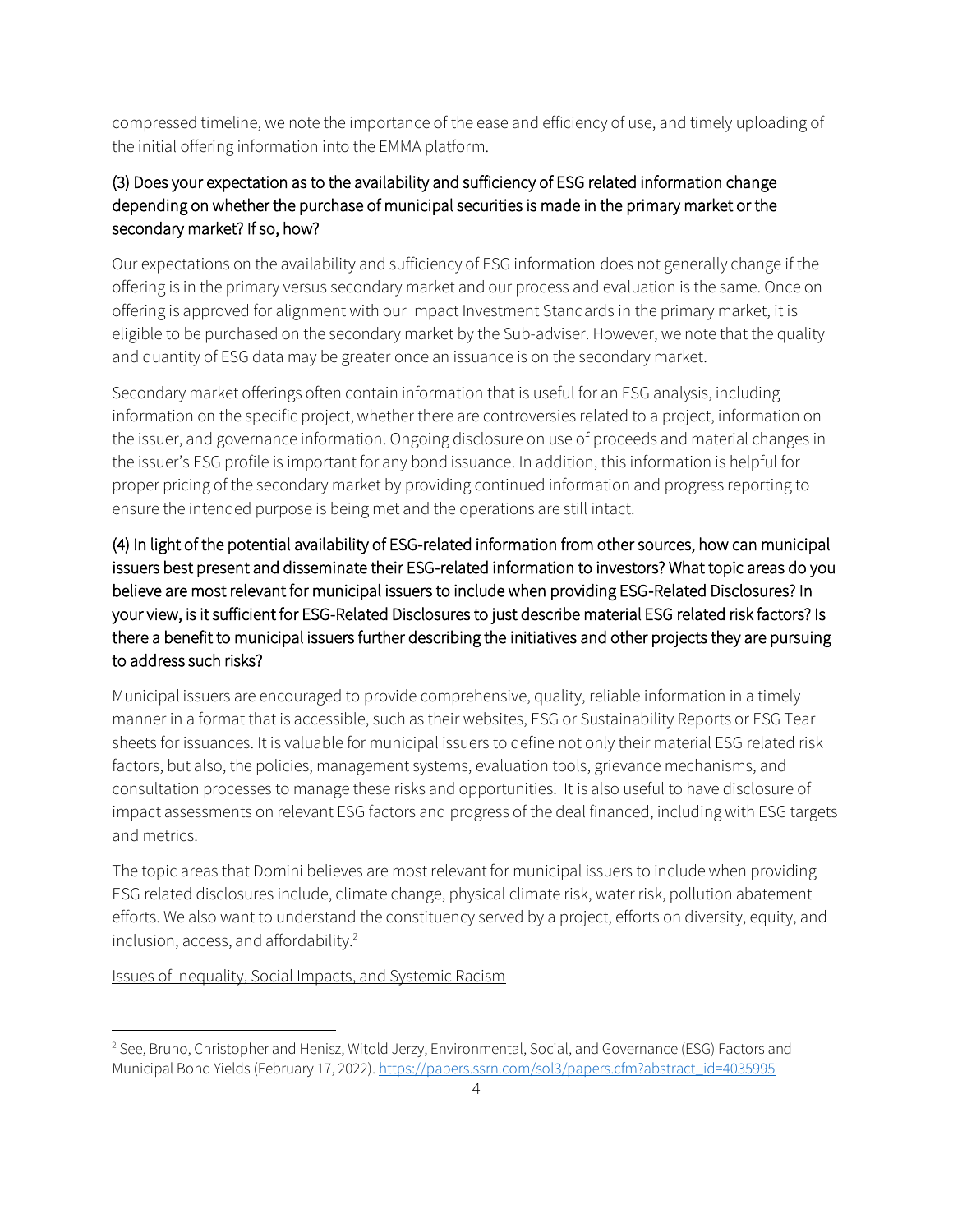compressed timeline, we note the importance of the ease and efficiency of use, and timely uploading of the initial offering information into the EMMA platform.

# (3) Does your expectation as to the availability and sufficiency of ESG related information change depending on whether the purchase of municipal securities is made in the primary market or the secondary market? If so, how?

Our expectations on the availability and sufficiency of ESG information does not generally change if the offering is in the primary versus secondary market and our process and evaluation is the same. Once on offering is approved for alignment with our Impact Investment Standards in the primary market, it is eligible to be purchased on the secondary market by the Sub-adviser. However, we note that the quality and quantity of ESG data may be greater once an issuance is on the secondary market.

Secondary market offerings often contain information that is useful for an ESG analysis, including information on the specific project, whether there are controversies related to a project, information on the issuer, and governance information. Ongoing disclosure on use of proceeds and material changes in the issuer's ESG profile is important for any bond issuance. In addition, this information is helpful for proper pricing of the secondary market by providing continued information and progress reporting to ensure the intended purpose is being met and the operations are still intact.

# (4) In light of the potential availability of ESG-related information from other sources, how can municipal issuers best present and disseminate their ESG-related information to investors? What topic areas do you believe are most relevant for municipal issuers to include when providing ESG-Related Disclosures? In your view, is it sufficient for ESG-Related Disclosures to just describe material ESG related risk factors? Is there a benefit to municipal issuers further describing the initiatives and other projects they are pursuing to address such risks?

Municipal issuers are encouraged to provide comprehensive, quality, reliable information in a timely manner in a format that is accessible, such as their websites, ESG or Sustainability Reports or ESG Tear sheets for issuances. It is valuable for municipal issuers to define not only their material ESG related risk factors, but also, the policies, management systems, evaluation tools, grievance mechanisms, and consultation processes to manage these risks and opportunities. It is also useful to have disclosure of impact assessments on relevant ESG factors and progress of the deal financed, includingwith ESG targets and metrics.

The topic areas that Domini believes are most relevant for municipal issuers to include when providing ESG related disclosures include, climate change, physical climate risk, water risk, pollution abatement efforts. We also want to understand the constituency served by a project, efforts on diversity, equity, and inclusion, access, and affordability.<sup>2</sup>

Issues of Inequality, Social Impacts, and Systemic Racism

<sup>2</sup> See, Bruno, Christopher and Henisz, Witold Jerzy, Environmental, Social, and Governance (ESG) Factors and Municipal Bond Yields (February 17, 2022)[. https://papers.ssrn.com/sol3/papers.cfm?abstract\\_id=4035995](https://papers.ssrn.com/sol3/papers.cfm?abstract_id=4035995)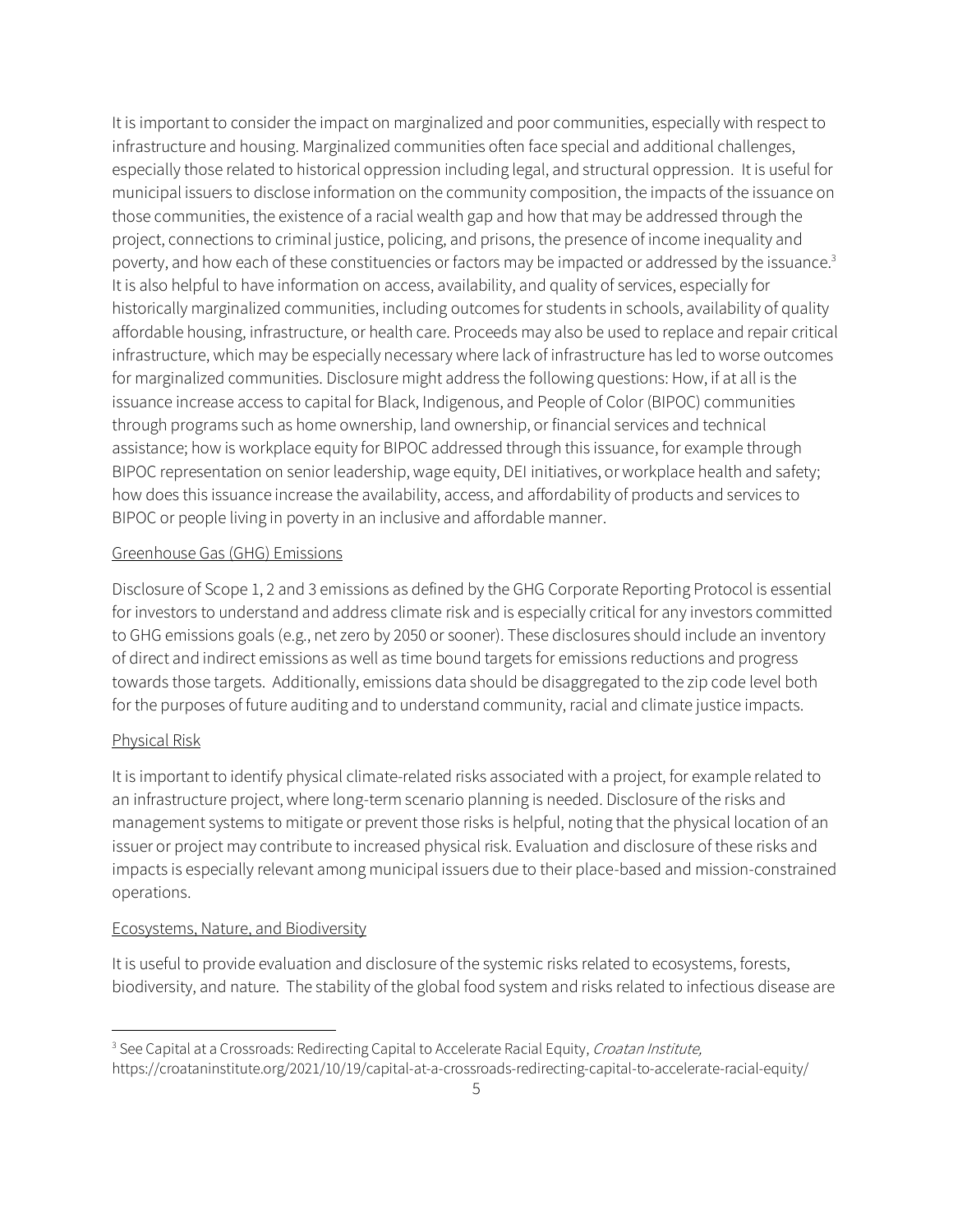It is important to consider the impact on marginalized and poor communities, especially with respect to infrastructure and housing. Marginalized communities often face special and additional challenges, especially those related to historical oppression including legal, and structural oppression. It is useful for municipal issuers to disclose information on the community composition, the impacts of the issuance on those communities, the existence of a racial wealth gap and how that may be addressed through the project, connections to criminal justice, policing, and prisons, the presence of income inequality and poverty, and how each of these constituencies or factors may be impacted or addressed by the issuance.<sup>3</sup> It is also helpful to have information on access, availability, and quality of services, especially for historically marginalized communities, including outcomes for students in schools, availability of quality affordable housing, infrastructure, or health care. Proceeds may also be used to replace and repair critical infrastructure, which may be especially necessary where lack of infrastructure has led to worse outcomes for marginalized communities. Disclosure might address the following questions: How, if at all is the issuance increase access to capital for Black, Indigenous, and People of Color (BIPOC) communities through programs such as home ownership, land ownership, or financial services and technical assistance; how is workplace equity for BIPOC addressed through this issuance, for example through BIPOC representation on senior leadership, wage equity, DEI initiatives, or workplace health and safety; how does this issuance increase the availability, access, and affordability of products and services to BIPOC or people living in poverty in an inclusive and affordable manner.

#### Greenhouse Gas (GHG) Emissions

Disclosure of Scope 1, 2 and 3 emissions as defined by the GHG Corporate Reporting Protocol is essential for investors to understand and address climate risk and is especially critical for any investors committed to GHG emissions goals (e.g., net zero by 2050 or sooner). These disclosures should include an inventory of direct and indirect emissions as well as time bound targets for emissions reductions and progress towards those targets. Additionally, emissions data should be disaggregated to the zip code level both for the purposes of future auditing and to understand community, racial and climate justice impacts.

#### Physical Risk

It is important to identify physical climate-related risks associated with a project, for example related to an infrastructure project, where long-term scenario planning is needed. Disclosure of the risks and management systems to mitigate or prevent those risks is helpful, noting that the physical location of an issuer or project may contribute to increased physical risk. Evaluation and disclosure of these risks and impacts is especially relevant among municipal issuers due to their place-based and mission-constrained operations.

#### Ecosystems, Nature, and Biodiversity

It is useful to provide evaluation and disclosure of the systemic risks related to ecosystems, forests, biodiversity, and nature. The stability of the global food system and risks related to infectious disease are

<sup>&</sup>lt;sup>3</sup> See Capital at a Crossroads: Redirecting Capital to Accelerate Racial Equity, Croatan Institute, https://croataninstitute.org/2021/10/19/capital-at-a-crossroads-redirecting-capital-to-accelerate-racial-equity/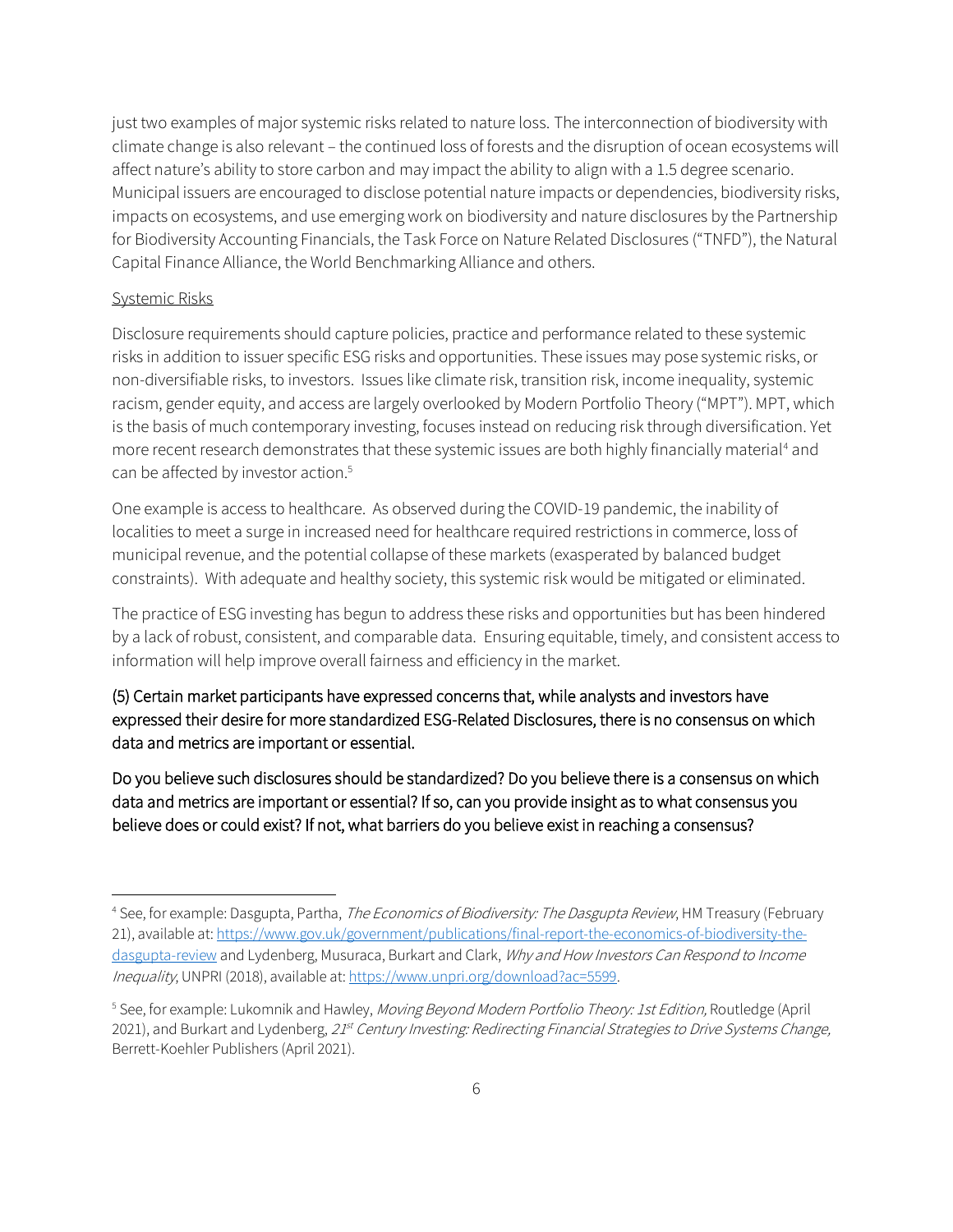just two examples of major systemic risks related to nature loss. The interconnection of biodiversity with climate change is also relevant – the continued loss of forests and the disruption of ocean ecosystems will affect nature's ability to store carbon and may impact the ability to align with a 1.5 degree scenario. Municipal issuers are encouraged to disclose potential nature impacts or dependencies, biodiversity risks, impacts on ecosystems, and use emerging work on biodiversity and nature disclosures by the Partnership for Biodiversity Accounting Financials, the Task Force on Nature Related Disclosures ("TNFD"), the Natural Capital Finance Alliance, the World Benchmarking Alliance and others.

#### Systemic Risks

Disclosure requirements should capture policies, practice and performance related to these systemic risks in addition to issuer specific ESG risks and opportunities. These issues may pose systemic risks, or non-diversifiable risks, to investors. Issues like climate risk, transition risk, income inequality, systemic racism, gender equity, and access are largely overlooked by Modern Portfolio Theory ("MPT"). MPT, which is the basis of much contemporary investing, focuses instead on reducing risk through diversification. Yet more recent research demonstrates that these systemic issues are both highly financially material<sup>4</sup> and can be affected by investor action.<sup>5</sup>

One example is access to healthcare. As observed during the COVID-19 pandemic, the inability of localities to meet a surge in increased need for healthcare required restrictions in commerce, loss of municipal revenue, and the potential collapse of these markets (exasperated by balanced budget constraints). With adequate and healthy society, this systemic risk would be mitigated or eliminated.

The practice of ESG investing has begun to address these risks and opportunities but has been hindered by a lack of robust, consistent, and comparable data. Ensuring equitable, timely, and consistent access to information will help improve overall fairness and efficiency in the market.

## (5) Certain market participants have expressed concerns that, while analysts and investors have expressed their desire for more standardized ESG-Related Disclosures, there is no consensus on which data and metrics are important or essential.

Do you believe such disclosures should be standardized? Do you believe there is a consensus on which data and metrics are important or essential? If so, can you provide insight as to what consensus you believe does or could exist? If not, what barriers do you believe exist in reaching a consensus?

<sup>&</sup>lt;sup>4</sup> See, for example: Dasgupta, Partha, *The Economics of Biodiversity: The Dasgupta Review*, HM Treasury (February 21), available at[: https://www.gov.uk/government/publications/final-report-the-economics-of-biodiversity-the](https://www.gov.uk/government/publications/final-report-the-economics-of-biodiversity-the-dasgupta-review)[dasgupta-review](https://www.gov.uk/government/publications/final-report-the-economics-of-biodiversity-the-dasgupta-review) and Lydenberg, Musuraca, Burkart and Clark, Why and How Investors Can Respond to Income Inequality, UNPRI (2018), available at[: https://www.unpri.org/download?ac=5599.](https://www.unpri.org/download?ac=5599)

<sup>&</sup>lt;sup>5</sup> See, for example: Lukomnik and Hawley, *Moving Beyond Modern Portfolio Theory: 1st Edition,* Routledge (April 2021), and Burkart and Lydenberg, 21st Century Investing: Redirecting Financial Strategies to Drive Systems Change, Berrett-Koehler Publishers (April 2021).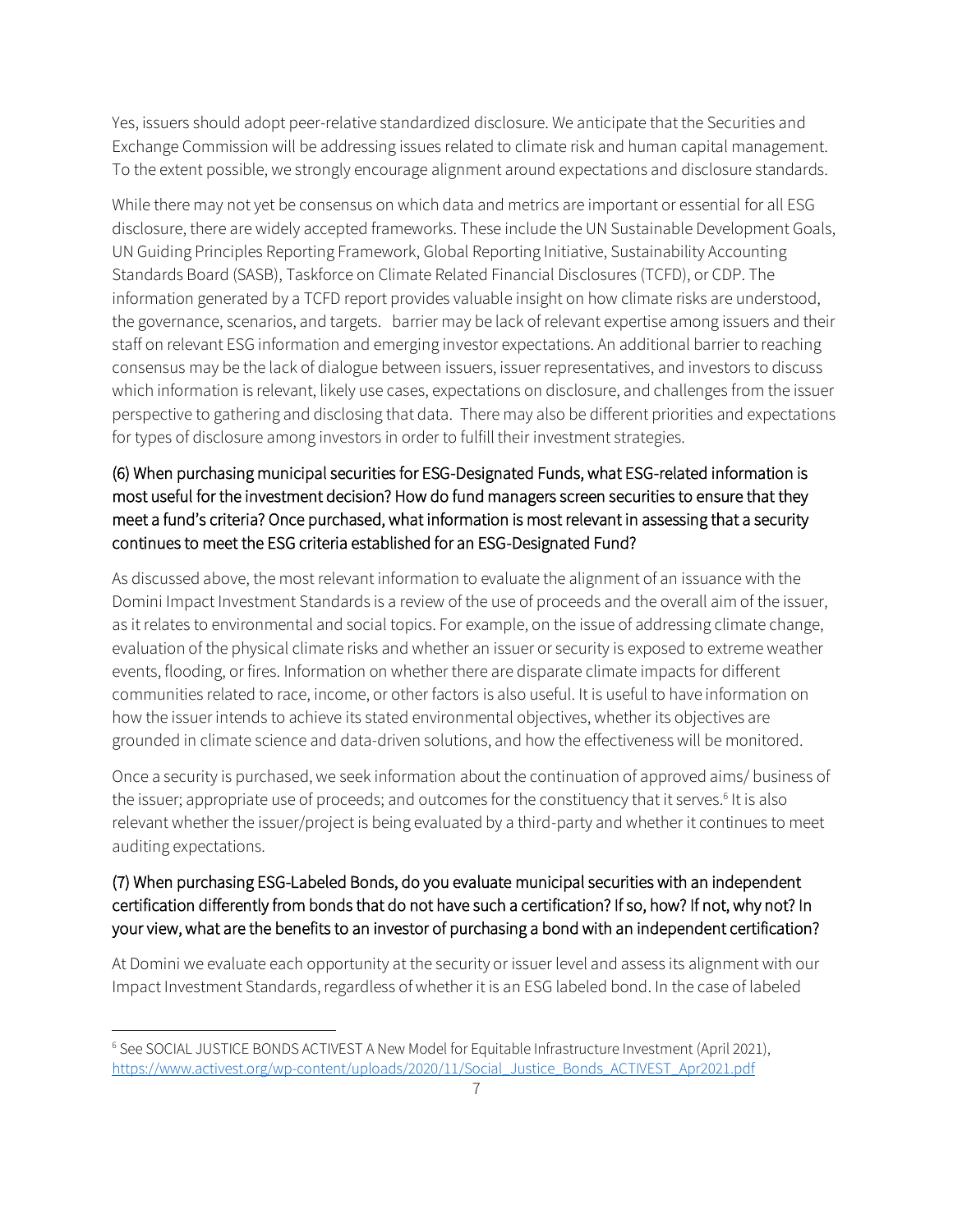Yes, issuers should adopt peer-relative standardized disclosure. We anticipate that the Securities and Exchange Commission will be addressing issues related to climate risk and human capital management. To the extent possible, we strongly encourage alignment around expectations and disclosure standards.

While there may not yet be consensus on which data and metrics are important or essential for all ESG disclosure, there are widely accepted frameworks. These include the UN Sustainable Development Goals, UN Guiding Principles Reporting Framework, Global Reporting Initiative, Sustainability Accounting Standards Board (SASB), Taskforce on Climate Related Financial Disclosures (TCFD), or CDP. The information generated by a TCFD report provides valuable insight on how climate risks are understood, the governance, scenarios, and targets. barrier may be lack of relevant expertise among issuers and their staff on relevant ESG information and emerging investor expectations. An additional barrier to reaching consensus may be the lack of dialogue between issuers, issuer representatives, and investors to discuss which information is relevant, likely use cases, expectations on disclosure, and challenges from the issuer perspective to gathering and disclosing that data. There may also be different priorities and expectations for types of disclosure among investors in order to fulfill their investment strategies.

## (6) When purchasing municipal securities for ESG-Designated Funds, what ESG-related information is most useful for the investment decision? How do fund managers screen securities to ensure that they meet a fund's criteria? Once purchased, what information is most relevant in assessing that a security continues to meet the ESG criteria established for an ESG-Designated Fund?

As discussed above, the most relevant information to evaluate the alignment of an issuance with the Domini Impact Investment Standards is a review of the use of proceeds and the overall aim of the issuer, as it relates to environmental and social topics. For example, on the issue of addressing climate change, evaluation of the physical climate risks and whether an issuer or security is exposed to extreme weather events, flooding, or fires. Information on whether there are disparate climate impacts for different communities related to race, income, or other factors is also useful. It is useful to have information on how the issuer intends to achieve its stated environmental objectives, whether its objectives are grounded in climate science and data-driven solutions, and how the effectiveness will be monitored.

Once a security is purchased, we seek information about the continuation of approved aims/ business of the issuer; appropriate use of proceeds; and outcomes for the constituency that it serves.<sup>6</sup> It is also relevant whether the issuer/project is being evaluated by a third-party and whether it continues to meet auditing expectations.

## (7) When purchasing ESG-Labeled Bonds, do you evaluate municipal securities with an independent certification differently from bonds that do not have such a certification? If so, how? If not, why not? In your view, what are the benefits to an investor of purchasing a bond with an independent certification?

At Domini we evaluate each opportunity at the security or issuer level and assess its alignment with our Impact Investment Standards, regardless of whether it is an ESG labeled bond. In the case of labeled

<sup>6</sup> See SOCIAL JUSTICE BONDS ACTIVEST A New Model for Equitable Infrastructure Investment (April 2021), [https://www.activest.org/wp-content/uploads/2020/11/Social\\_Justice\\_Bonds\\_ACTIVEST\\_Apr2021.pdf](https://www.activest.org/wp-content/uploads/2020/11/Social_Justice_Bonds_ACTIVEST_Apr2021.pdf)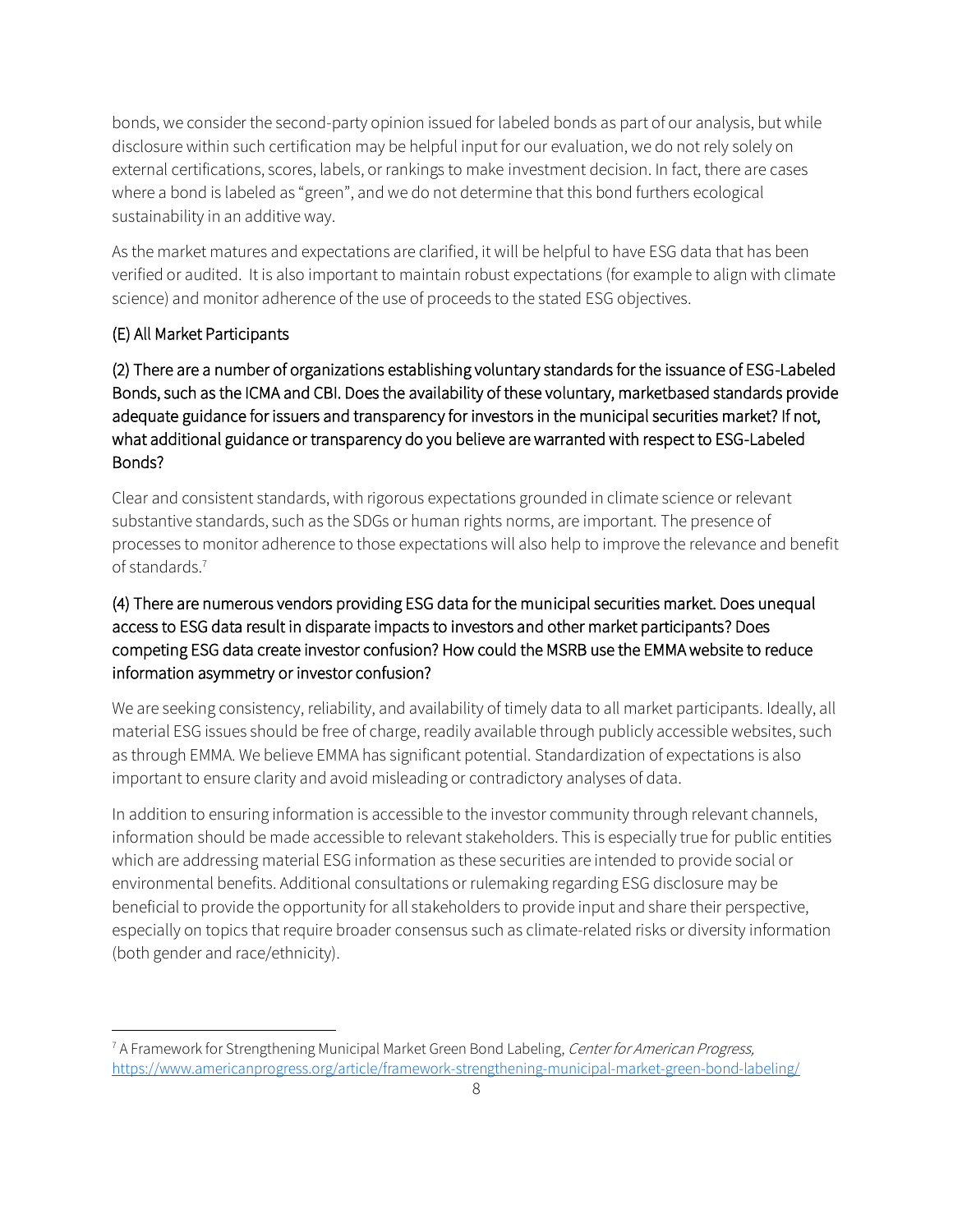bonds, we consider the second-party opinion issued for labeled bonds as part of our analysis, but while disclosure within such certification may be helpful input for our evaluation, we do not rely solely on external certifications, scores, labels, or rankings to make investment decision. In fact, there are cases where a bond is labeled as "green", and we do not determine that this bond furthers ecological sustainability in an additive way.

As the market matures and expectations are clarified, it will be helpful to have ESG data that has been verified or audited. It is also important to maintain robust expectations (for example to align with climate science) and monitor adherence of the use of proceeds to the stated ESG objectives.

## (E) All Market Participants

(2) There are a number of organizations establishing voluntary standards for the issuance of ESG-Labeled Bonds, such as the ICMA and CBI. Does the availability of these voluntary, marketbased standards provide adequate guidance for issuers and transparency for investors in the municipal securities market? If not, what additional guidance or transparency do you believe are warranted with respect to ESG-Labeled Bonds?

Clear and consistent standards, with rigorous expectations grounded in climate science or relevant substantive standards, such as the SDGs or human rights norms, are important. The presence of processes to monitor adherence to those expectations will also help to improve the relevance and benefit of standards.<sup>7</sup>

# (4) There are numerous vendors providing ESG data for the municipal securities market. Does unequal access to ESG data result in disparate impacts to investors and other market participants? Does competing ESG data create investor confusion? How could the MSRB use the EMMA website to reduce information asymmetry or investor confusion?

We are seeking consistency, reliability, and availability of timely data to all market participants. Ideally, all material ESG issues should be free of charge, readily available through publicly accessible websites, such as through EMMA. We believe EMMA has significant potential. Standardization of expectations is also important to ensure clarity and avoid misleading or contradictory analyses of data.

In addition to ensuring information is accessible to the investor community through relevant channels, information should be made accessible to relevant stakeholders. This is especially true for public entities which are addressing material ESG information as these securities are intended to provide social or environmental benefits. Additional consultations or rulemaking regarding ESG disclosure may be beneficial to provide the opportunity for all stakeholders to provide input and share their perspective, especially on topics that require broader consensus such as climate-related risks or diversity information (both gender and race/ethnicity).

<sup>&</sup>lt;sup>7</sup> A Framework for Strengthening Municipal Market Green Bond Labeling, Center for American Progress, <https://www.americanprogress.org/article/framework-strengthening-municipal-market-green-bond-labeling/>